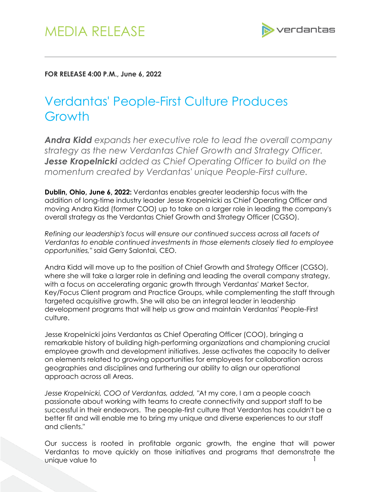

## **FOR RELEASE 4:00 P.M., June 6, 2022**

## Verdantas' People-First Culture Produces Growth

*Andra Kidd expands her executive role to lead the overall company strategy as the new Verdantas Chief Growth and Strategy Officer. Jesse Kropelnicki added as Chief Operating Officer to build on the momentum created by Verdantas' unique People-First culture.* 

**Dublin, Ohio, June 6, 2022:** Verdantas enables greater leadership focus with the addition of long-time industry leader Jesse Kropelnicki as Chief Operating Officer and moving Andra Kidd (former COO) up to take on a larger role in leading the company's overall strategy as the Verdantas Chief Growth and Strategy Officer (CGSO).

*Refining our leadership's focus will ensure our continued success across all facets of Verdantas to enable continued investments in those elements closely tied to employee opportunities,"* said Gerry Salontai, CEO.

Andra Kidd will move up to the position of Chief Growth and Strategy Officer (CGSO), where she will take a larger role in defining and leading the overall company strategy, with a focus on accelerating organic growth through Verdantas' Market Sector, Key/Focus Client program and Practice Groups, while complementing the staff through targeted acquisitive growth. She will also be an integral leader in leadership development programs that will help us grow and maintain Verdantas' People-First culture.

Jesse Kropelnicki joins Verdantas as Chief Operating Officer (COO), bringing a remarkable history of building high-performing organizations and championing crucial employee growth and development initiatives. Jesse activates the capacity to deliver on elements related to growing opportunities for employees for collaboration across geographies and disciplines and furthering our ability to align our operational approach across all Areas.

*Jesse Kropelnicki, COO of Verdantas, added, "*At my core, I am a people coach passionate about working with teams to create connectivity and support staff to be successful in their endeavors. The people-first culture that Verdantas has couldn't be a better fit and will enable me to bring my unique and diverse experiences to our staff and clients."

1 Our success is rooted in profitable organic growth, the engine that will power Verdantas to move quickly on those initiatives and programs that demonstrate the unique value to